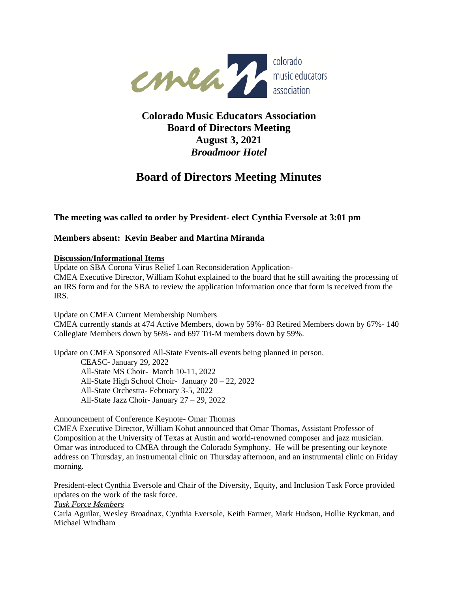

## **Colorado Music Educators Association Board of Directors Meeting August 3, 2021** *Broadmoor Hotel*

# **Board of Directors Meeting Minutes**

**The meeting was called to order by President- elect Cynthia Eversole at 3:01 pm**

## **Members absent: Kevin Beaber and Martina Miranda**

#### **Discussion/Informational Items**

Update on SBA Corona Virus Relief Loan Reconsideration Application-CMEA Executive Director, William Kohut explained to the board that he still awaiting the processing of an IRS form and for the SBA to review the application information once that form is received from the IRS.

Update on CMEA Current Membership Numbers

CMEA currently stands at 474 Active Members, down by 59%- 83 Retired Members down by 67%- 140 Collegiate Members down by 56%- and 697 Tri-M members down by 59%.

Update on CMEA Sponsored All-State Events-all events being planned in person.

CEASC- January 29, 2022 All-State MS Choir- March 10-11, 2022 All-State High School Choir- January 20 – 22, 2022 All-State Orchestra- February 3-5, 2022 All-State Jazz Choir- January 27 – 29, 2022

Announcement of Conference Keynote- Omar Thomas

CMEA Executive Director, William Kohut announced that Omar Thomas, Assistant Professor of Composition at the University of Texas at Austin and world-renowned composer and jazz musician. Omar was introduced to CMEA through the Colorado Symphony. He will be presenting our keynote address on Thursday, an instrumental clinic on Thursday afternoon, and an instrumental clinic on Friday morning.

President-elect Cynthia Eversole and Chair of the Diversity, Equity, and Inclusion Task Force provided updates on the work of the task force.

*Task Force Members*

Carla Aguilar, Wesley Broadnax, Cynthia Eversole, Keith Farmer, Mark Hudson, Hollie Ryckman, and Michael Windham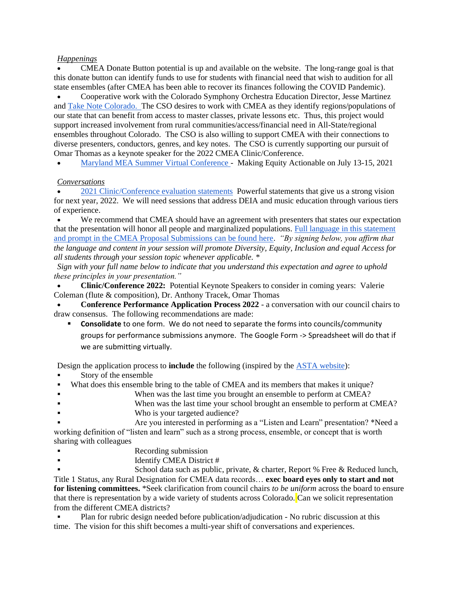#### *Happenings*

• CMEA Donate Button potential is up and available on the website. The long-range goal is that this donate button can identify funds to use for students with financial need that wish to audition for all state ensembles (after CMEA has been able to recover its finances following the COVID Pandemic).

• Cooperative work with the Colorado Symphony Orchestra Education Director, Jesse Martinez an[d Take Note Colorado.](https://takenotecolorado.org/) The CSO desires to work with CMEA as they identify regions/populations of our state that can benefit from access to master classes, private lessons etc. Thus, this project would support increased involvement from rural communities/access/financial need in All-State/regional ensembles throughout Colorado. The CSO is also willing to support CMEA with their connections to diverse presenters, conductors, genres, and key notes. The CSO is currently supporting our pursuit of Omar Thomas as a keynote speaker for the 2022 CMEA Clinic/Conference.

• [Maryland MEA Summer Virtual Conference -](https://www.mmea-maryland.org/2021-july-virtual-conference-general-information) Making Equity Actionable on July 13-15, 2021

#### *Conversations*

• [2021 Clinic/Conference evaluation statements](https://drive.google.com/file/d/1pCuNRtJxFJ2u064IMlm3CpYUHEOrvfR8/view?usp=sharing) Powerful statements that give us a strong vision for next year, 2022. We will need sessions that address DEIA and music education through various tiers of experience.

We recommend that CMEA should have an agreement with presenters that states our expectation that the presentation will honor all people and marginalized populations. [Full language in this statement](https://docs.google.com/document/d/1LYVxTR0QR6SdbA81-bTbqmYBzRMbTNyl-BGu3ak3iTg/edit?usp=sharing)  [and prompt in the CMEA Proposal Submissions can be found here.](https://docs.google.com/document/d/1LYVxTR0QR6SdbA81-bTbqmYBzRMbTNyl-BGu3ak3iTg/edit?usp=sharing) *"By signing below, you affirm that the language and content in your session will promote Diversity, Equity, Inclusion and equal Access for all students through your session topic whenever applicable. \**

*Sign with your full name below to indicate that you understand this expectation and agree to uphold these principles in your presentation."*

• **Clinic/Conference 2022:** Potential Keynote Speakers to consider in coming years: Valerie Coleman (flute & composition), Dr. Anthony Tracek, Omar Thomas

• **Conference Performance Application Process 2022** - a conversation with our council chairs to draw consensus. The following recommendations are made:

**Consolidate** to one form. We do not need to separate the forms into councils/community groups for performance submissions anymore. The Google Form -> Spreadsheet will do that if we are submitting virtually.

Design the application process to **include** the following (inspired by the [ASTA website\)](https://www.astastrings.org/NationalConference/2021_Call_for_Proposals.aspx):

- Story of the ensemble
- What does this ensemble bring to the table of CMEA and its members that makes it unique?
- When was the last time you brought an ensemble to perform at CMEA?
- **•** When was the last time your school brought an ensemble to perform at CMEA?
- Who is your targeted audience?

Are you interested in performing as a "Listen and Learn" presentation? \*Need a working definition of "listen and learn" such as a strong process, ensemble, or concept that is worth sharing with colleagues

- Recording submission
- Identify CMEA District #

School data such as public, private,  $&$  charter, Report % Free  $&$  Reduced lunch, Title 1 Status, any Rural Designation for CMEA data records… **exec board eyes only to start and not for listening committees.** \*Seek clarification from council chairs *to be uniform* across the board to ensure that there is representation by a wide variety of students across Colorado. Can we solicit representation from the different CMEA districts?

Plan for rubric design needed before publication/adjudication - No rubric discussion at this time. The vision for this shift becomes a multi-year shift of conversations and experiences.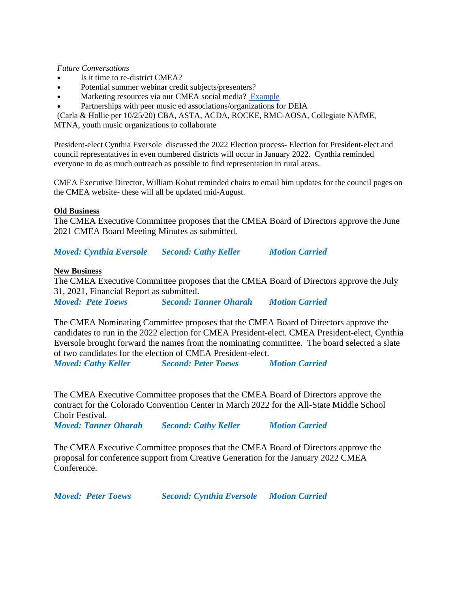*Future Conversations*

- Is it time to re-district CMEA?
- Potential summer webinar credit subjects/presenters?
- Marketing resources via our CMEA social media? [Example](https://www.composerdiversity.com/)
- Partnerships with peer music ed associations/organizations for DEIA

(Carla & Hollie per 10/25/20) CBA, ASTA, ACDA, ROCKE, RMC-AOSA, Collegiate NAfME,

MTNA, youth music organizations to collaborate

President-elect Cynthia Eversole discussed the 2022 Election process- Election for President-elect and council representatives in even numbered districts will occur in January 2022. Cynthia reminded everyone to do as much outreach as possible to find representation in rural areas.

CMEA Executive Director, William Kohut reminded chairs to email him updates for the council pages on the CMEA website- these will all be updated mid-August.

#### **Old Business**

The CMEA Executive Committee proposes that the CMEA Board of Directors approve the June 2021 CMEA Board Meeting Minutes as submitted.

*Moved: Cynthia Eversole Second: Cathy Keller Motion Carried*

#### **New Business**

The CMEA Executive Committee proposes that the CMEA Board of Directors approve the July 31, 2021, Financial Report as submitted. *Moved: Pete Toews Second: Tanner Oharah Motion Carried*

The CMEA Nominating Committee proposes that the CMEA Board of Directors approve the candidates to run in the 2022 election for CMEA President-elect. CMEA President-elect, Cynthia Eversole brought forward the names from the nominating committee. The board selected a slate of two candidates for the election of CMEA President-elect.

*Moved: Cathy Keller Second: Peter Toews Motion Carried*

The CMEA Executive Committee proposes that the CMEA Board of Directors approve the contract for the Colorado Convention Center in March 2022 for the All-State Middle School Choir Festival.

*Moved: Tanner Oharah Second: Cathy Keller Motion Carried*

The CMEA Executive Committee proposes that the CMEA Board of Directors approve the proposal for conference support from Creative Generation for the January 2022 CMEA Conference.

*Moved: Peter Toews Second: Cynthia Eversole Motion Carried*